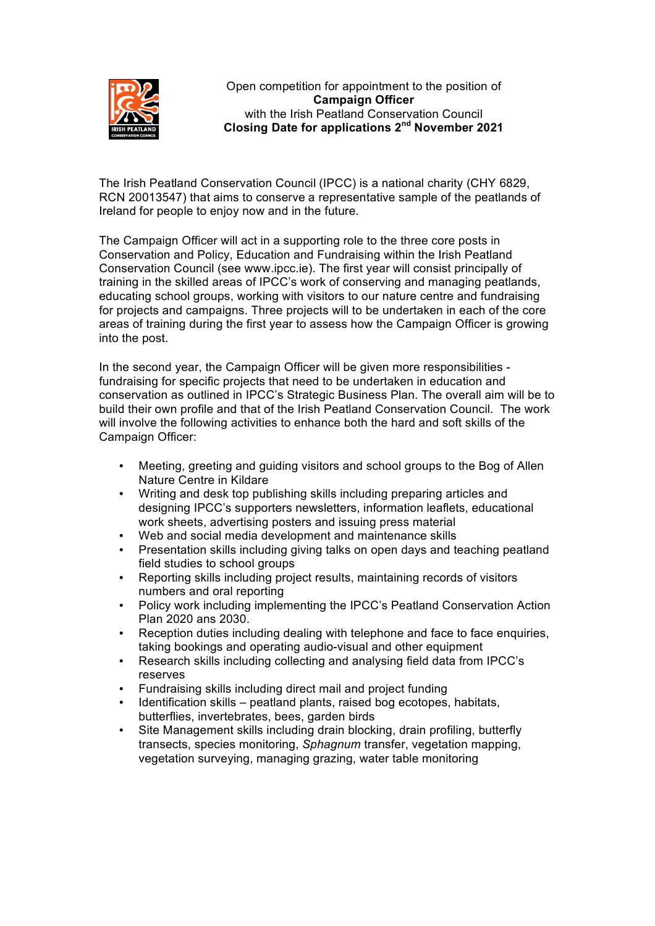

Open competition for appointment to the position of **Campaign Officer** with the Irish Peatland Conservation Council **Closing Date for applications 2nd November 2021**

The Irish Peatland Conservation Council (IPCC) is a national charity (CHY 6829, RCN 20013547) that aims to conserve a representative sample of the peatlands of Ireland for people to enjoy now and in the future.

The Campaign Officer will act in a supporting role to the three core posts in Conservation and Policy, Education and Fundraising within the Irish Peatland Conservation Council (see www.ipcc.ie). The first year will consist principally of training in the skilled areas of IPCC's work of conserving and managing peatlands, educating school groups, working with visitors to our nature centre and fundraising for projects and campaigns. Three projects will to be undertaken in each of the core areas of training during the first year to assess how the Campaign Officer is growing into the post.

In the second year, the Campaign Officer will be given more responsibilities fundraising for specific projects that need to be undertaken in education and conservation as outlined in IPCC's Strategic Business Plan. The overall aim will be to build their own profile and that of the Irish Peatland Conservation Council. The work will involve the following activities to enhance both the hard and soft skills of the Campaign Officer:

- Meeting, greeting and guiding visitors and school groups to the Bog of Allen Nature Centre in Kildare
- Writing and desk top publishing skills including preparing articles and designing IPCC's supporters newsletters, information leaflets, educational work sheets, advertising posters and issuing press material
- Web and social media development and maintenance skills
- Presentation skills including giving talks on open days and teaching peatland field studies to school groups
- Reporting skills including project results, maintaining records of visitors numbers and oral reporting
- Policy work including implementing the IPCC's Peatland Conservation Action Plan 2020 ans 2030.
- Reception duties including dealing with telephone and face to face enquiries, taking bookings and operating audio-visual and other equipment
- Research skills including collecting and analysing field data from IPCC's reserves
- Fundraising skills including direct mail and project funding
- Identification skills peatland plants, raised bog ecotopes, habitats, butterflies, invertebrates, bees, garden birds
- Site Management skills including drain blocking, drain profiling, butterfly transects, species monitoring, *Sphagnum* transfer, vegetation mapping, vegetation surveying, managing grazing, water table monitoring